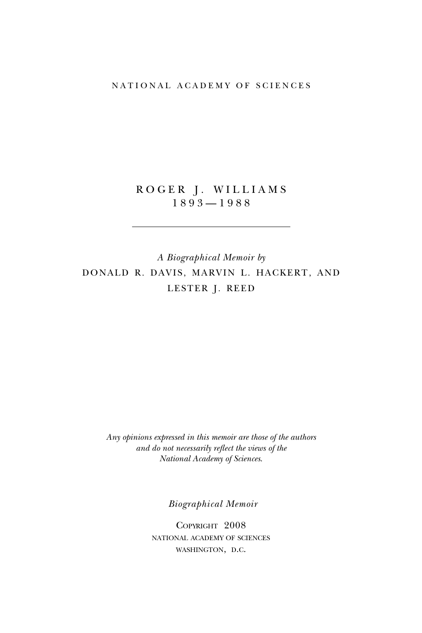## NATIONAL ACADEMY OF SCIENCES

## ROGER J. WILLIAMS 1 8 9 3 — 1 9 8 8

# *A Biographical Memoir by* DONALD R. DAVIS, MARVIN L. HACKERT, AND LESTER J. REED

*Any opinions expressed in this memoir are those of the authors and do not necessarily reflect the views of the National Academy of Sciences*.

*Biographical Memoir*

Copyright 2008 national academy of sciences washington, d.c.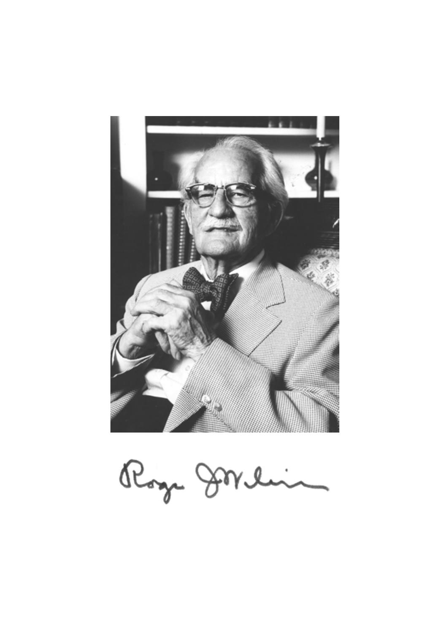

Roge Jordin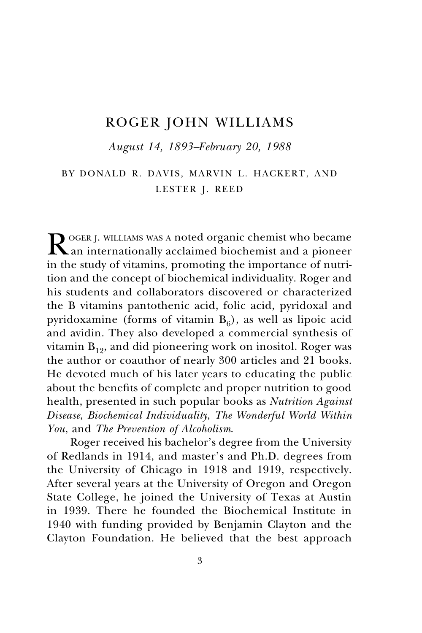# Roger John Williams

*August 14, 1893–February 20, 1988*

## BY DONALD R. DAVIS, MARVIN L. HACKERT, AND LESTER J. REED

ROGER J. WILLIAMS WAS A noted organic chemist who became an internationally acclaimed biochemist and a pioneer in the study of vitamins, promoting the importance of nutrition and the concept of biochemical individuality. Roger and his students and collaborators discovered or characterized the B vitamins pantothenic acid, folic acid, pyridoxal and pyridoxamine (forms of vitamin  $B_6$ ), as well as lipoic acid and avidin. They also developed a commercial synthesis of vitamin  $B_{19}$ , and did pioneering work on inositol. Roger was the author or coauthor of nearly 300 articles and 21 books. He devoted much of his later years to educating the public about the benefits of complete and proper nutrition to good health, presented in such popular books as *Nutrition Against Disease*, *Biochemical Individuality*, *The Wonderful World Within You*, and *The Prevention of Alcoholism*.

 Roger received his bachelor's degree from the University of Redlands in 1914, and master's and Ph.D. degrees from the University of Chicago in 1918 and 1919, respectively. After several years at the University of Oregon and Oregon State College, he joined the University of Texas at Austin in 1939. There he founded the Biochemical Institute in 1940 with funding provided by Benjamin Clayton and the Clayton Foundation. He believed that the best approach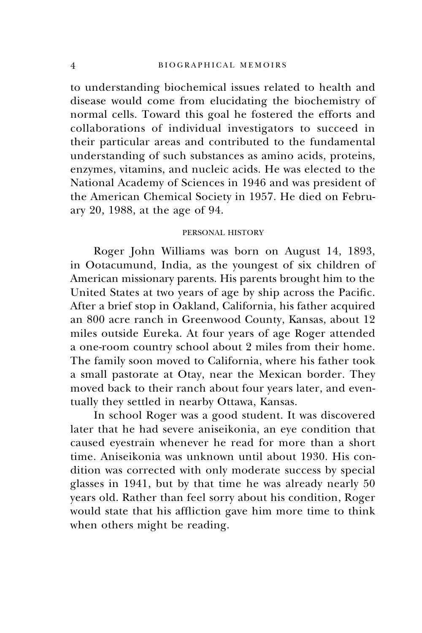to understanding biochemical issues related to health and disease would come from elucidating the biochemistry of normal cells. Toward this goal he fostered the efforts and collaborations of individual investigators to succeed in their particular areas and contributed to the fundamental understanding of such substances as amino acids, proteins, enzymes, vitamins, and nucleic acids. He was elected to the National Academy of Sciences in 1946 and was president of the American Chemical Society in 1957. He died on February 20, 1988, at the age of 94.

## PERSONAL HISTORY

 Roger John Williams was born on August 14, 1893, in Ootacumund, India, as the youngest of six children of American missionary parents. His parents brought him to the United States at two years of age by ship across the Pacific. After a brief stop in Oakland, California, his father acquired an 800 acre ranch in Greenwood County, Kansas, about 12 miles outside Eureka. At four years of age Roger attended a one-room country school about 2 miles from their home. The family soon moved to California, where his father took a small pastorate at Otay, near the Mexican border. They moved back to their ranch about four years later, and eventually they settled in nearby Ottawa, Kansas.

 In school Roger was a good student. It was discovered later that he had severe aniseikonia, an eye condition that caused eyestrain whenever he read for more than a short time. Aniseikonia was unknown until about 1930. His condition was corrected with only moderate success by special glasses in 1941, but by that time he was already nearly 50 years old. Rather than feel sorry about his condition, Roger would state that his affliction gave him more time to think when others might be reading.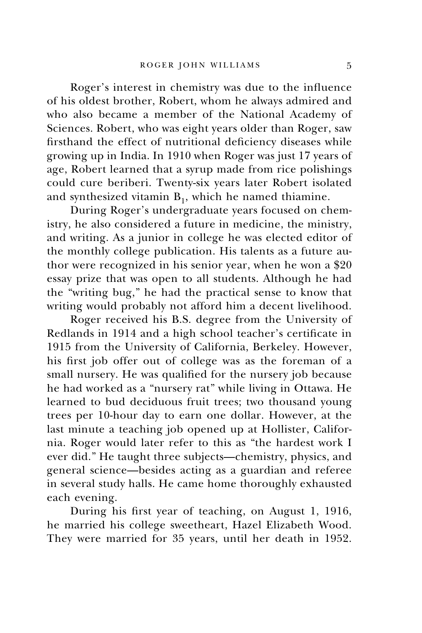Roger's interest in chemistry was due to the influence of his oldest brother, Robert, whom he always admired and who also became a member of the National Academy of Sciences. Robert, who was eight years older than Roger, saw firsthand the effect of nutritional deficiency diseases while growing up in India. In 1910 when Roger was just 17 years of age, Robert learned that a syrup made from rice polishings could cure beriberi. Twenty-six years later Robert isolated and synthesized vitamin  $B_1$ , which he named thiamine.

 During Roger's undergraduate years focused on chemistry, he also considered a future in medicine, the ministry, and writing. As a junior in college he was elected editor of the monthly college publication. His talents as a future author were recognized in his senior year, when he won a \$20 essay prize that was open to all students. Although he had the "writing bug," he had the practical sense to know that writing would probably not afford him a decent livelihood.

 Roger received his B.S. degree from the University of Redlands in 1914 and a high school teacher's certificate in 1915 from the University of California, Berkeley. However, his first job offer out of college was as the foreman of a small nursery. He was qualified for the nursery job because he had worked as a "nursery rat" while living in Ottawa. He learned to bud deciduous fruit trees; two thousand young trees per 10-hour day to earn one dollar. However, at the last minute a teaching job opened up at Hollister, California. Roger would later refer to this as "the hardest work I ever did." He taught three subjects—chemistry, physics, and general science—besides acting as a guardian and referee in several study halls. He came home thoroughly exhausted each evening.

 During his first year of teaching, on August 1, 1916, he married his college sweetheart, Hazel Elizabeth Wood. They were married for 35 years, until her death in 1952.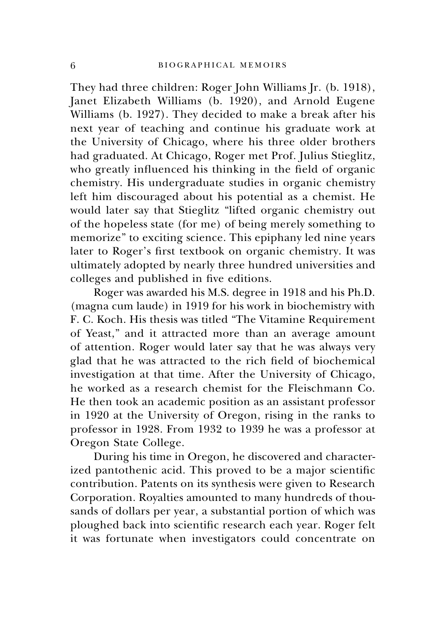They had three children: Roger John Williams Jr. (b. 1918), Janet Elizabeth Williams (b. 1920), and Arnold Eugene Williams (b. 1927). They decided to make a break after his next year of teaching and continue his graduate work at the University of Chicago, where his three older brothers had graduated. At Chicago, Roger met Prof. Julius Stieglitz, who greatly influenced his thinking in the field of organic chemistry. His undergraduate studies in organic chemistry left him discouraged about his potential as a chemist. He would later say that Stieglitz "lifted organic chemistry out of the hopeless state (for me) of being merely something to memorize" to exciting science. This epiphany led nine years later to Roger's first textbook on organic chemistry. It was ultimately adopted by nearly three hundred universities and colleges and published in five editions.

 Roger was awarded his M.S. degree in 1918 and his Ph.D. (magna cum laude) in 1919 for his work in biochemistry with F. C. Koch. His thesis was titled "The Vitamine Requirement of Yeast," and it attracted more than an average amount of attention. Roger would later say that he was always very glad that he was attracted to the rich field of biochemical investigation at that time. After the University of Chicago, he worked as a research chemist for the Fleischmann Co. He then took an academic position as an assistant professor in 1920 at the University of Oregon, rising in the ranks to professor in 1928. From 1932 to 1939 he was a professor at Oregon State College.

 During his time in Oregon, he discovered and characterized pantothenic acid. This proved to be a major scientific contribution. Patents on its synthesis were given to Research Corporation. Royalties amounted to many hundreds of thousands of dollars per year, a substantial portion of which was ploughed back into scientific research each year. Roger felt it was fortunate when investigators could concentrate on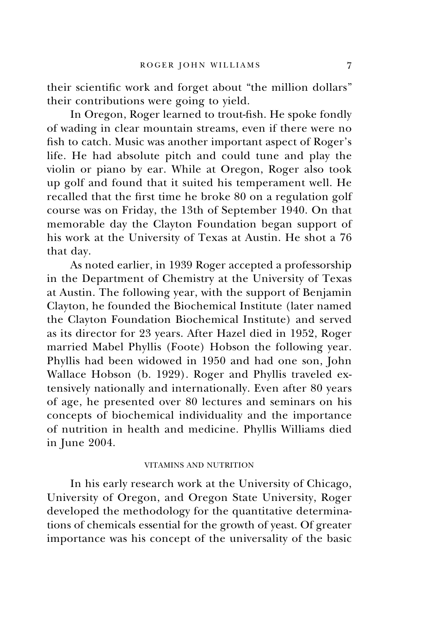their scientific work and forget about "the million dollars" their contributions were going to yield.

 In Oregon, Roger learned to trout-fish. He spoke fondly of wading in clear mountain streams, even if there were no fish to catch. Music was another important aspect of Roger's life. He had absolute pitch and could tune and play the violin or piano by ear. While at Oregon, Roger also took up golf and found that it suited his temperament well. He recalled that the first time he broke 80 on a regulation golf course was on Friday, the 13th of September 1940. On that memorable day the Clayton Foundation began support of his work at the University of Texas at Austin. He shot a 76 that day.

 As noted earlier, in 1939 Roger accepted a professorship in the Department of Chemistry at the University of Texas at Austin. The following year, with the support of Benjamin Clayton, he founded the Biochemical Institute (later named the Clayton Foundation Biochemical Institute) and served as its director for 23 years. After Hazel died in 1952, Roger married Mabel Phyllis (Foote) Hobson the following year. Phyllis had been widowed in 1950 and had one son, John Wallace Hobson (b. 1929). Roger and Phyllis traveled extensively nationally and internationally. Even after 80 years of age, he presented over 80 lectures and seminars on his concepts of biochemical individuality and the importance of nutrition in health and medicine. Phyllis Williams died in June 2004.

#### VITAMINS AND NUTRITION

 In his early research work at the University of Chicago, University of Oregon, and Oregon State University, Roger developed the methodology for the quantitative determinations of chemicals essential for the growth of yeast. Of greater importance was his concept of the universality of the basic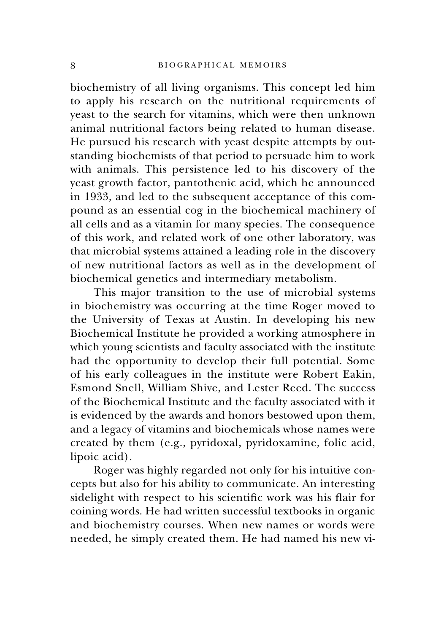biochemistry of all living organisms. This concept led him to apply his research on the nutritional requirements of yeast to the search for vitamins, which were then unknown animal nutritional factors being related to human disease. He pursued his research with yeast despite attempts by outstanding biochemists of that period to persuade him to work with animals. This persistence led to his discovery of the yeast growth factor, pantothenic acid, which he announced in 1933, and led to the subsequent acceptance of this compound as an essential cog in the biochemical machinery of all cells and as a vitamin for many species. The consequence of this work, and related work of one other laboratory, was that microbial systems attained a leading role in the discovery of new nutritional factors as well as in the development of biochemical genetics and intermediary metabolism.

 This major transition to the use of microbial systems in biochemistry was occurring at the time Roger moved to the University of Texas at Austin. In developing his new Biochemical Institute he provided a working atmosphere in which young scientists and faculty associated with the institute had the opportunity to develop their full potential. Some of his early colleagues in the institute were Robert Eakin, Esmond Snell, William Shive, and Lester Reed. The success of the Biochemical Institute and the faculty associated with it is evidenced by the awards and honors bestowed upon them, and a legacy of vitamins and biochemicals whose names were created by them (e.g., pyridoxal, pyridoxamine, folic acid, lipoic acid).

 Roger was highly regarded not only for his intuitive concepts but also for his ability to communicate. An interesting sidelight with respect to his scientific work was his flair for coining words. He had written successful textbooks in organic and biochemistry courses. When new names or words were needed, he simply created them. He had named his new vi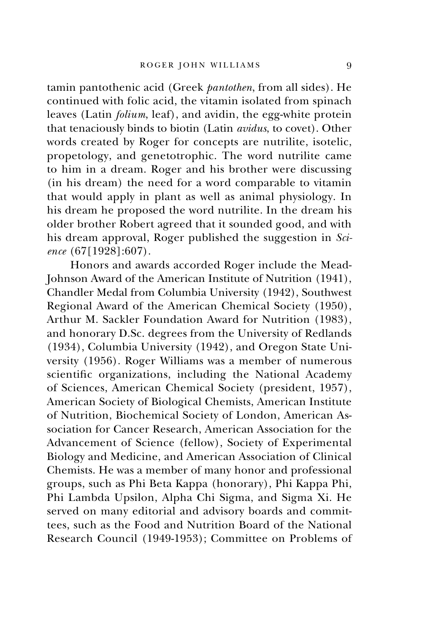tamin pantothenic acid (Greek *pantothen*, from all sides). He continued with folic acid, the vitamin isolated from spinach leaves (Latin *folium*, leaf), and avidin, the egg-white protein that tenaciously binds to biotin (Latin *avidus*, to covet). Other words created by Roger for concepts are nutrilite, isotelic, propetology, and genetotrophic. The word nutrilite came to him in a dream. Roger and his brother were discussing (in his dream) the need for a word comparable to vitamin that would apply in plant as well as animal physiology. In his dream he proposed the word nutrilite. In the dream his older brother Robert agreed that it sounded good, and with his dream approval, Roger published the suggestion in *Science* (67[1928]:607).

Honors and awards accorded Roger include the Mead-Johnson Award of the American Institute of Nutrition (1941), Chandler Medal from Columbia University (1942), Southwest Regional Award of the American Chemical Society (1950), Arthur M. Sackler Foundation Award for Nutrition (1983), and honorary D.Sc. degrees from the University of Redlands (1934), Columbia University (1942), and Oregon State University (1956). Roger Williams was a member of numerous scientific organizations, including the National Academy of Sciences, American Chemical Society (president, 1957), American Society of Biological Chemists, American Institute of Nutrition, Biochemical Society of London, American Association for Cancer Research, American Association for the Advancement of Science (fellow), Society of Experimental Biology and Medicine, and American Association of Clinical Chemists. He was a member of many honor and professional groups, such as Phi Beta Kappa (honorary), Phi Kappa Phi, Phi Lambda Upsilon, Alpha Chi Sigma, and Sigma Xi. He served on many editorial and advisory boards and committees, such as the Food and Nutrition Board of the National Research Council (1949-1953); Committee on Problems of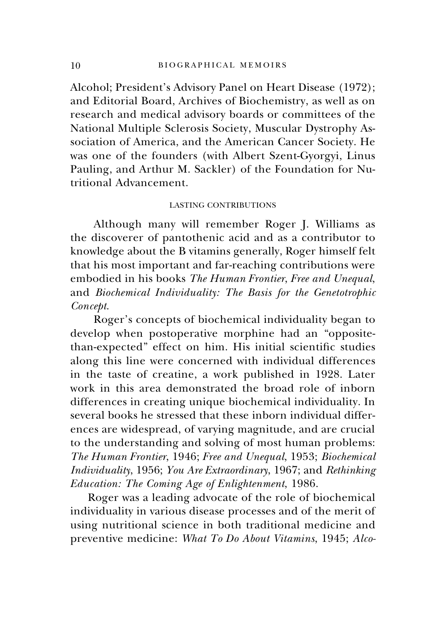Alcohol; President's Advisory Panel on Heart Disease (1972); and Editorial Board, Archives of Biochemistry, as well as on research and medical advisory boards or committees of the National Multiple Sclerosis Society, Muscular Dystrophy Association of America, and the American Cancer Society. He was one of the founders (with Albert Szent-Gyorgyi, Linus Pauling, and Arthur M. Sackler) of the Foundation for Nutritional Advancement.

## LASTING CONTRIBUTIONS

 Although many will remember Roger J. Williams as the discoverer of pantothenic acid and as a contributor to knowledge about the B vitamins generally, Roger himself felt that his most important and far-reaching contributions were embodied in his books *The Human Frontier*, *Free and Unequal*, and *Biochemical Individuality: The Basis for the Genetotrophic Concept*.

 Roger's concepts of biochemical individuality began to develop when postoperative morphine had an "oppositethan-expected" effect on him. His initial scientific studies along this line were concerned with individual differences in the taste of creatine, a work published in 1928. Later work in this area demonstrated the broad role of inborn differences in creating unique biochemical individuality. In several books he stressed that these inborn individual differences are widespread, of varying magnitude, and are crucial to the understanding and solving of most human problems: *The Human Frontier*, 1946; *Free and Unequal*, 1953; *Biochemical Individuality*, 1956; *You Are Extraordinary*, 1967; and *Rethinking Education: The Coming Age of Enlightenment*, 1986.

Roger was a leading advocate of the role of biochemical individuality in various disease processes and of the merit of using nutritional science in both traditional medicine and preventive medicine: *What To Do About Vitamins*, 1945; *Alco-*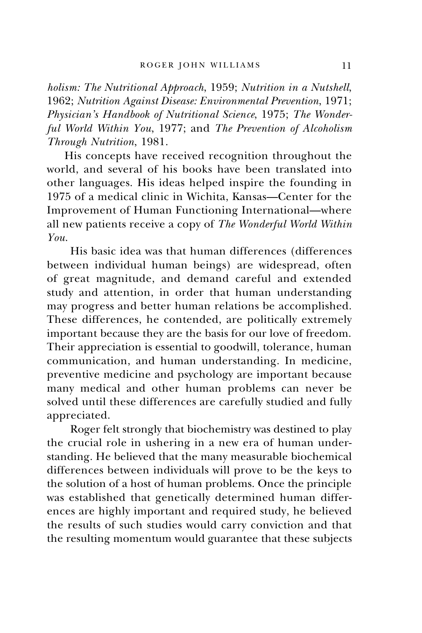*holism: The Nutritional Approach*, 1959; *Nutrition in a Nutshell*, 1962; *Nutrition Against Disease: Environmental Prevention*, 1971; *Physician's Handbook of Nutritional Science*, 1975; *The Wonderful World Within You*, 1977; and *The Prevention of Alcoholism Through Nutrition*, 1981.

His concepts have received recognition throughout the world, and several of his books have been translated into other languages. His ideas helped inspire the founding in 1975 of a medical clinic in Wichita, Kansas—Center for the Improvement of Human Functioning International—where all new patients receive a copy of *The Wonderful World Within You*.

His basic idea was that human differences (differences between individual human beings) are widespread, often of great magnitude, and demand careful and extended study and attention, in order that human understanding may progress and better human relations be accomplished. These differences, he contended, are politically extremely important because they are the basis for our love of freedom. Their appreciation is essential to goodwill, tolerance, human communication, and human understanding. In medicine, preventive medicine and psychology are important because many medical and other human problems can never be solved until these differences are carefully studied and fully appreciated.

 Roger felt strongly that biochemistry was destined to play the crucial role in ushering in a new era of human understanding. He believed that the many measurable biochemical differences between individuals will prove to be the keys to the solution of a host of human problems. Once the principle was established that genetically determined human differences are highly important and required study, he believed the results of such studies would carry conviction and that the resulting momentum would guarantee that these subjects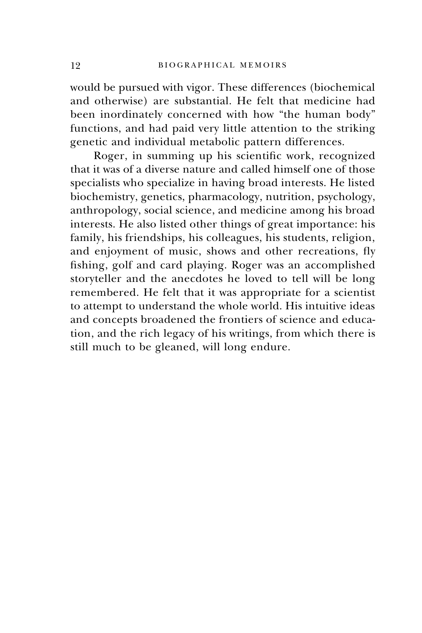would be pursued with vigor. These differences (biochemical and otherwise) are substantial. He felt that medicine had been inordinately concerned with how "the human body" functions, and had paid very little attention to the striking genetic and individual metabolic pattern differences.

 Roger, in summing up his scientific work, recognized that it was of a diverse nature and called himself one of those specialists who specialize in having broad interests. He listed biochemistry, genetics, pharmacology, nutrition, psychology, anthropology, social science, and medicine among his broad interests. He also listed other things of great importance: his family, his friendships, his colleagues, his students, religion, and enjoyment of music, shows and other recreations, fly fishing, golf and card playing. Roger was an accomplished storyteller and the anecdotes he loved to tell will be long remembered. He felt that it was appropriate for a scientist to attempt to understand the whole world. His intuitive ideas and concepts broadened the frontiers of science and education, and the rich legacy of his writings, from which there is still much to be gleaned, will long endure.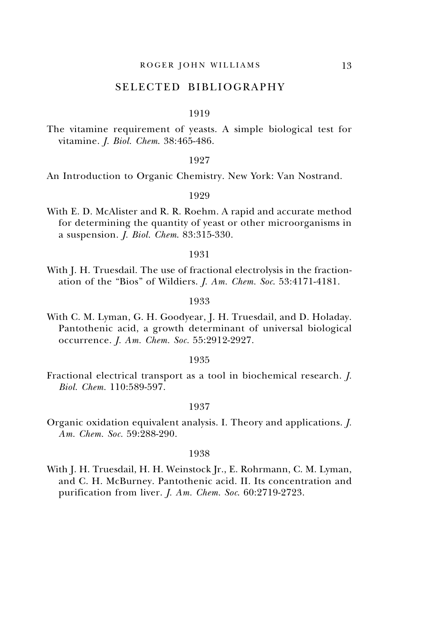## SELECTED BIBLIOGRAPHY

#### 1919

The vitamine requirement of yeasts. A simple biological test for vitamine. *J. Biol. Chem*. 38:465-486.

## 1927

An Introduction to Organic Chemistry. New York: Van Nostrand.

#### 1929

With E. D. McAlister and R. R. Roehm. A rapid and accurate method for determining the quantity of yeast or other microorganisms in a suspension. *J. Biol. Chem*. 83:315-330.

#### 1931

With J. H. Truesdail. The use of fractional electrolysis in the fractionation of the "Bios" of Wildiers. *J. Am. Chem. Soc*. 53:4171-4181.

#### 1933

With C. M. Lyman, G. H. Goodyear, J. H. Truesdail, and D. Holaday. Pantothenic acid, a growth determinant of universal biological occurrence. *J. Am. Chem. Soc.* 55:2912-2927.

#### 1935

Fractional electrical transport as a tool in biochemical research. *J. Biol. Chem.* 110:589-597.

#### 1937

Organic oxidation equivalent analysis. I. Theory and applications. *J. Am. Chem. Soc.* 59:288-290.

#### 1938

With J. H. Truesdail, H. H. Weinstock Jr., E. Rohrmann, C. M. Lyman, and C. H. McBurney. Pantothenic acid. II. Its concentration and purification from liver. *J. Am. Chem. Soc*. 60:2719-2723.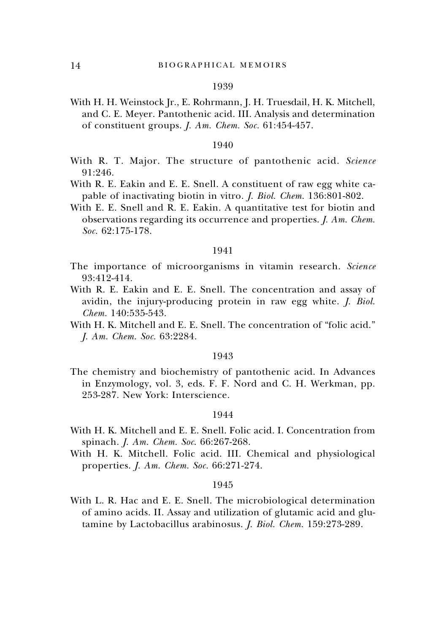#### 1939

With H. H. Weinstock Jr., E. Rohrmann, J. H. Truesdail, H. K. Mitchell, and C. E. Meyer. Pantothenic acid. III. Analysis and determination of constituent groups. *J. Am. Chem. Soc.* 61:454-457.

#### 1940

- With R. T. Major. The structure of pantothenic acid. *Science*  91:246.
- With R. E. Eakin and E. E. Snell. A constituent of raw egg white capable of inactivating biotin in vitro. *J. Biol. Chem.* 136:801-802.
- With E. E. Snell and R. E. Eakin. A quantitative test for biotin and observations regarding its occurrence and properties. *J. Am. Chem. Soc.* 62:175-178.

### 1941

- The importance of microorganisms in vitamin research. *Science*  93:412-414.
- With R. E. Eakin and E. E. Snell. The concentration and assay of avidin, the injury-producing protein in raw egg white. *J. Biol. Chem.* 140:535-543.
- With H. K. Mitchell and E. E. Snell. The concentration of "folic acid." *J. Am. Chem. Soc.* 63:2284.

## 1943

The chemistry and biochemistry of pantothenic acid. In Advances in Enzymology, vol. 3, eds. F. F. Nord and C. H. Werkman, pp. 253-287. New York: Interscience.

## 1944

- With H. K. Mitchell and E. E. Snell. Folic acid. I. Concentration from spinach. *J. Am. Chem. Soc*. 66:267-268.
- With H. K. Mitchell. Folic acid. III. Chemical and physiological properties. *J. Am. Chem. Soc.* 66:271-274.

#### 1945

With L. R. Hac and E. E. Snell. The microbiological determination of amino acids. II. Assay and utilization of glutamic acid and glutamine by Lactobacillus arabinosus. *J. Biol. Chem.* 159:273-289.